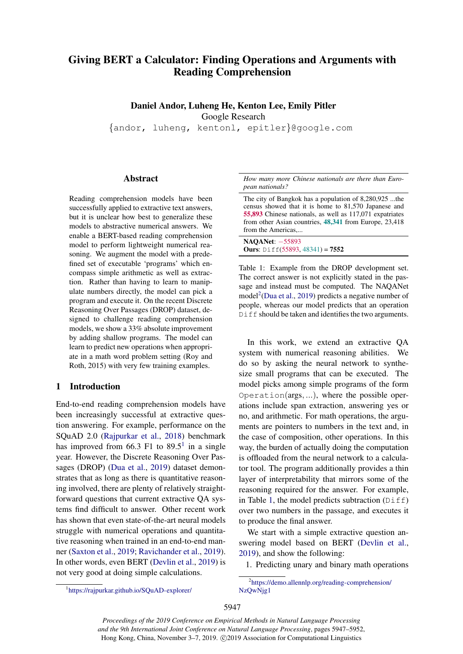# Giving BERT a Calculator: Finding Operations and Arguments with Reading Comprehension

# Daniel Andor, Luheng He, Kenton Lee, Emily Pitler

Google Research

{andor, luheng, kentonl, epitler}@google.com

### Abstract

Reading comprehension models have been successfully applied to extractive text answers, but it is unclear how best to generalize these models to abstractive numerical answers. We enable a BERT-based reading comprehension model to perform lightweight numerical reasoning. We augment the model with a predefined set of executable 'programs' which encompass simple arithmetic as well as extraction. Rather than having to learn to manipulate numbers directly, the model can pick a program and execute it. On the recent Discrete Reasoning Over Passages (DROP) dataset, designed to challenge reading comprehension models, we show a 33% absolute improvement by adding shallow programs. The model can learn to predict new operations when appropriate in a math word problem setting (Roy and Roth, 2015) with very few training examples.

## 1 Introduction

End-to-end reading comprehension models have been increasingly successful at extractive question answering. For example, performance on the SQuAD 2.0 [\(Rajpurkar et al.,](#page-4-0) [2018\)](#page-4-0) benchmark has improved from 66.3 F[1](#page-0-0) to  $89.5<sup>1</sup>$  in a single year. However, the Discrete Reasoning Over Passages (DROP) [\(Dua et al.,](#page-4-1) [2019\)](#page-4-1) dataset demonstrates that as long as there is quantitative reasoning involved, there are plenty of relatively straightforward questions that current extractive QA systems find difficult to answer. Other recent work has shown that even state-of-the-art neural models struggle with numerical operations and quantitative reasoning when trained in an end-to-end manner [\(Saxton et al.,](#page-4-2) [2019;](#page-4-2) [Ravichander et al.,](#page-4-3) [2019\)](#page-4-3). In other words, even BERT [\(Devlin et al.,](#page-4-4) [2019\)](#page-4-4) is not very good at doing simple calculations.

<span id="page-0-0"></span>1 <https://rajpurkar.github.io/SQuAD-explorer/>

<span id="page-0-2"></span>*How many more Chinese nationals are there than European nationals?*

The city of Bangkok has a population of 8,280,925 ...the census showed that it is home to 81,570 Japanese and 55,893 Chinese nationals, as well as 117,071 expatriates from other Asian countries, 48,341 from Europe, 23,418 from the Americas,...

NAQANet: -55893 **Ours:** Diff(55893, 48341) =  $7552$ 

Table 1: Example from the DROP development set. The correct answer is not explicitly stated in the passage and instead must be computed. The NAQANet model<sup>[2](#page-0-1)</sup>[\(Dua et al.,](#page-4-1) [2019\)](#page-4-1) predicts a negative number of people, whereas our model predicts that an operation Diff should be taken and identifies the two arguments.

In this work, we extend an extractive QA system with numerical reasoning abilities. We do so by asking the neural network to synthesize small programs that can be executed. The model picks among simple programs of the form Operation(args, ...), where the possible operations include span extraction, answering yes or no, and arithmetic. For math operations, the arguments are pointers to numbers in the text and, in the case of composition, other operations. In this way, the burden of actually doing the computation is offloaded from the neural network to a calculator tool. The program additionally provides a thin layer of interpretability that mirrors some of the reasoning required for the answer. For example, in Table [1,](#page-0-2) the model predicts subtraction  $(Diff)$ over two numbers in the passage, and executes it to produce the final answer.

We start with a simple extractive question answering model based on BERT [\(Devlin et al.,](#page-4-4) [2019\)](#page-4-4), and show the following:

<span id="page-0-1"></span>1. Predicting unary and binary math operations

*Proceedings of the 2019 Conference on Empirical Methods in Natural Language Processing and the 9th International Joint Conference on Natural Language Processing*, pages 5947–5952, Hong Kong, China, November 3–7, 2019. ©2019 Association for Computational Linguistics

<sup>2</sup> [https://demo.allennlp.org/reading-comprehension/](https://demo.allennlp.org/reading-comprehension/NzQwNjg1) [NzQwNjg1](https://demo.allennlp.org/reading-comprehension/NzQwNjg1)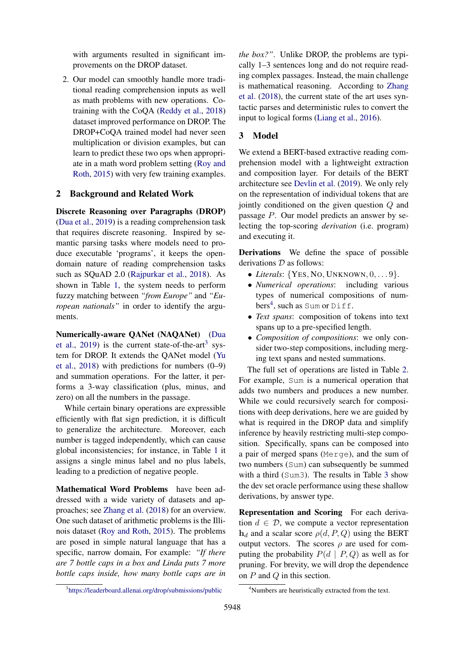with arguments resulted in significant improvements on the DROP dataset.

2. Our model can smoothly handle more traditional reading comprehension inputs as well as math problems with new operations. Cotraining with the CoQA [\(Reddy et al.,](#page-4-5) [2018\)](#page-4-5) dataset improved performance on DROP. The DROP+CoQA trained model had never seen multiplication or division examples, but can learn to predict these two ops when appropriate in a math word problem setting [\(Roy and](#page-4-6) [Roth,](#page-4-6) [2015\)](#page-4-6) with very few training examples.

#### 2 Background and Related Work

Discrete Reasoning over Paragraphs (DROP) [\(Dua et al.,](#page-4-1) [2019\)](#page-4-1) is a reading comprehension task that requires discrete reasoning. Inspired by semantic parsing tasks where models need to produce executable 'programs', it keeps the opendomain nature of reading comprehension tasks such as SQuAD 2.0 [\(Rajpurkar et al.,](#page-4-0) [2018\)](#page-4-0). As shown in Table [1,](#page-0-2) the system needs to perform fuzzy matching between *"from Europe"* and *"European nationals"* in order to identify the arguments.

Numerically-aware QANet (NAQANet) [\(Dua](#page-4-1) [et al.,](#page-4-1) [2019\)](#page-4-1) is the current state-of-the-art<sup>[3](#page-1-0)</sup> system for DROP. It extends the QANet model [\(Yu](#page-4-7) [et al.,](#page-4-7) [2018\)](#page-4-7) with predictions for numbers (0–9) and summation operations. For the latter, it performs a 3-way classification (plus, minus, and zero) on all the numbers in the passage.

While certain binary operations are expressible efficiently with flat sign prediction, it is difficult to generalize the architecture. Moreover, each number is tagged independently, which can cause global inconsistencies; for instance, in Table [1](#page-0-2) it assigns a single minus label and no plus labels, leading to a prediction of negative people.

Mathematical Word Problems have been addressed with a wide variety of datasets and approaches; see [Zhang et al.](#page-5-0) [\(2018\)](#page-5-0) for an overview. One such dataset of arithmetic problems is the Illinois dataset [\(Roy and Roth,](#page-4-6) [2015\)](#page-4-6). The problems are posed in simple natural language that has a specific, narrow domain, For example: *"If there are 7 bottle caps in a box and Linda puts 7 more bottle caps inside, how many bottle caps are in* *the box?"*. Unlike DROP, the problems are typically 1–3 sentences long and do not require reading complex passages. Instead, the main challenge is mathematical reasoning. According to [Zhang](#page-5-0) [et al.](#page-5-0) [\(2018\)](#page-5-0), the current state of the art uses syntactic parses and deterministic rules to convert the input to logical forms [\(Liang et al.,](#page-4-8) [2016\)](#page-4-8).

## 3 Model

We extend a BERT-based extractive reading comprehension model with a lightweight extraction and composition layer. For details of the BERT architecture see [Devlin et al.](#page-4-4) [\(2019\)](#page-4-4). We only rely on the representation of individual tokens that are jointly conditioned on the given question Q and passage P. Our model predicts an answer by selecting the top-scoring *derivation* (i.e. program) and executing it.

Derivations We define the space of possible derivations  $D$  as follows:

- *Literals*: {YES, NO, UNKNOWN, 0, . . . 9}.
- *Numerical operations*: including various types of numerical compositions of num-bers<sup>[4](#page-1-1)</sup>, such as Sum or Diff.
- *Text spans*: composition of tokens into text spans up to a pre-specified length.
- *Composition of compositions*: we only consider two-step compositions, including merging text spans and nested summations.

The full set of operations are listed in Table [2.](#page-2-0) For example, Sum is a numerical operation that adds two numbers and produces a new number. While we could recursively search for compositions with deep derivations, here we are guided by what is required in the DROP data and simplify inference by heavily restricting multi-step composition. Specifically, spans can be composed into a pair of merged spans (Merge), and the sum of two numbers (Sum) can subsequently be summed with a third (Sum[3](#page-3-0)). The results in Table 3 show the dev set oracle performance using these shallow derivations, by answer type.

Representation and Scoring For each derivation  $d \in \mathcal{D}$ , we compute a vector representation  $h_d$  and a scalar score  $\rho(d, P, Q)$  using the BERT output vectors. The scores  $\rho$  are used for computing the probability  $P(d | P, Q)$  as well as for pruning. For brevity, we will drop the dependence on P and Q in this section.

<span id="page-1-0"></span><sup>3</sup> <https://leaderboard.allenai.org/drop/submissions/public>

<span id="page-1-1"></span><sup>&</sup>lt;sup>4</sup>Numbers are heuristically extracted from the text.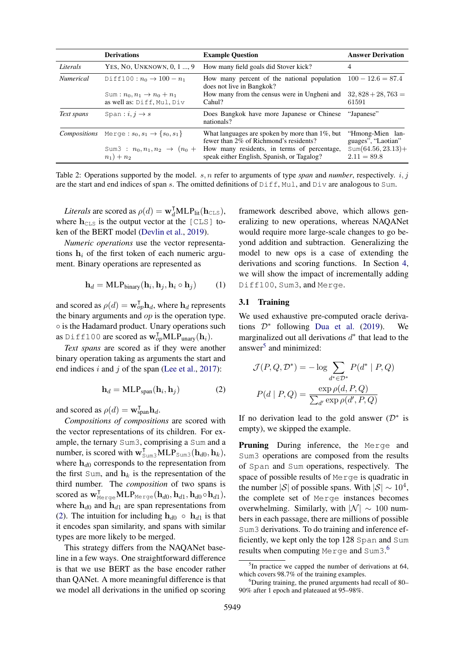<span id="page-2-0"></span>

|                                                  | <b>Derivations</b>                                                  | <b>Example Question</b>                                                                      | <b>Answer Derivation</b>               |
|--------------------------------------------------|---------------------------------------------------------------------|----------------------------------------------------------------------------------------------|----------------------------------------|
| Literals                                         | YES, NO. UNKNOWN, 0, 1 , 9                                          | How many field goals did Stover kick?                                                        | 4                                      |
| <i>Numerical</i><br>Diff100: $n_0 \to 100 - n_1$ |                                                                     | How many percent of the national population $100 - 12.6 = 87.4$<br>does not live in Bangkok? |                                        |
|                                                  | Sum: $n_0, n_1 \rightarrow n_0 + n_1$<br>as well as: Diff, Mul, Div | How many from the census were in Ungheni and<br>Cahul?                                       | $32,828 + 28,763 =$<br>61591           |
| Text spans                                       | Span: $i, j \rightarrow s$                                          | Does Bangkok have more Japanese or Chinese<br>nationals?                                     | "Japanese"                             |
| <b>Compositions</b>                              | Merge: $s_0, s_1 \to \{s_0, s_1\}$                                  | What languages are spoken by more than $1\%$ , but<br>fewer than 2% of Richmond's residents? | "Hmong-Mien lan-<br>guages", "Laotian" |
|                                                  | Sum3 : $n_0, n_1, n_2 \rightarrow (n_0 +$<br>$n_1) + n_2$           | How many residents, in terms of percentage,<br>speak either English, Spanish, or Tagalog?    | $Sum(64.56, 23.13) +$<br>$2.11 = 89.8$ |

Table 2: Operations supported by the model. s, n refer to arguments of type *span* and *number*, respectively. i, j are the start and end indices of span s. The omitted definitions of  $Diff$ , Mul, and  $Div$  are analogous to Sum.

*Literals* are scored as  $\rho(d) = \mathbf{w}_d^{\mathsf{T}} \mathbf{MLP}_{\text{lit}}(\mathbf{h}_{\text{CLS}}),$ where  $h_{\text{CLS}}$  is the output vector at the [CLS] token of the BERT model [\(Devlin et al.,](#page-4-4) [2019\)](#page-4-4).

*Numeric operations* use the vector representations  $h_i$  of the first token of each numeric argument. Binary operations are represented as

$$
\mathbf{h}_d = \text{MLP}_{\text{binary}}(\mathbf{h}_i, \mathbf{h}_j, \mathbf{h}_i \circ \mathbf{h}_j) \tag{1}
$$

and scored as  $\rho(d) = \mathbf{w}_{op}^{\mathsf{T}} \mathbf{h}_d$ , where  $\mathbf{h}_d$  represents the binary arguments and *op* is the operation type. ◦ is the Hadamard product. Unary operations such as Diff100 are scored as  $\mathbf{w}_{op}^{\mathsf{T}}\mathbf{MLP}_{\text{unary}}(\mathbf{h}_i)$ .

*Text spans* are scored as if they were another binary operation taking as arguments the start and end indices  $i$  and  $j$  of the span [\(Lee et al.,](#page-4-9) [2017\)](#page-4-9):

$$
\mathbf{h}_d = \text{MLP}_{\text{span}}(\mathbf{h}_i, \mathbf{h}_j) \tag{2}
$$

and scored as  $\rho(d) = \mathbf{w}_{\text{span}}^{\mathsf{T}} \mathbf{h}_d$ .

*Compositions of compositions* are scored with the vector representations of its children. For example, the ternary Sum3, comprising a Sum and a number, is scored with  $\mathbf{w}_{\text{Sum3}}^T \mathbf{MLP}_{\text{Sum3}}(\mathbf{h}_{d0}, \mathbf{h}_k)$ , where  $h_{d0}$  corresponds to the representation from the first Sum, and  $h_k$  is the representation of the third number. The *composition* of two spans is scored as  $\mathbf{w}_{\text{Merge}}^{\textsf{T}} \text{MLP}_{\text{Merge}}(\mathbf{h}_{d0}, \mathbf{h}_{d1}, \mathbf{h}_{d0} \circ \mathbf{h}_{d1}),$ where  $h_{d0}$  and  $h_{d1}$  are span representations from [\(2\)](#page-2-1). The intuition for including  $h_{d0} \circ h_{d1}$  is that it encodes span similarity, and spans with similar types are more likely to be merged.

This strategy differs from the NAQANet baseline in a few ways. One straightforward difference is that we use BERT as the base encoder rather than QANet. A more meaningful difference is that we model all derivations in the unified op scoring

framework described above, which allows generalizing to new operations, whereas NAQANet would require more large-scale changes to go beyond addition and subtraction. Generalizing the model to new ops is a case of extending the derivations and scoring functions. In Section [4,](#page-3-1) we will show the impact of incrementally adding Diff100, Sum3, and Merge.

#### 3.1 Training

We used exhaustive pre-computed oracle derivations  $\mathcal{D}^*$  following [Dua et al.](#page-4-1) [\(2019\)](#page-4-1). We marginalized out all derivations  $d^*$  that lead to the answer<sup>[5](#page-2-2)</sup> and minimized:

<span id="page-2-1"></span>
$$
\mathcal{J}(P,Q,\mathcal{D}^*) = -\log \sum_{d^* \in \mathcal{D}^*} P(d^* | P,Q)
$$

$$
P(d | P,Q) = \frac{\exp \rho(d, P,Q)}{\sum_{d'} \exp \rho(d', P,Q)}
$$

If no derivation lead to the gold answer  $(D^*$  is empty), we skipped the example.

Pruning During inference, the Merge and Sum3 operations are composed from the results of Span and Sum operations, respectively. The space of possible results of Merge is quadratic in the number |S| of possible spans. With  $|S| \sim 10^4$ , the complete set of Merge instances becomes overwhelming. Similarly, with  $|\mathcal{N}| \sim 100$  numbers in each passage, there are millions of possible Sum3 derivations. To do training and inference efficiently, we kept only the top 128 Span and Sum results when computing Merge and Sum3. [6](#page-2-3)

<span id="page-2-2"></span><sup>&</sup>lt;sup>5</sup>In practice we capped the number of derivations at 64, which covers 98.7% of the training examples.

<span id="page-2-3"></span> $6$ During training, the pruned arguments had recall of 80– 90% after 1 epoch and plateaued at 95–98%.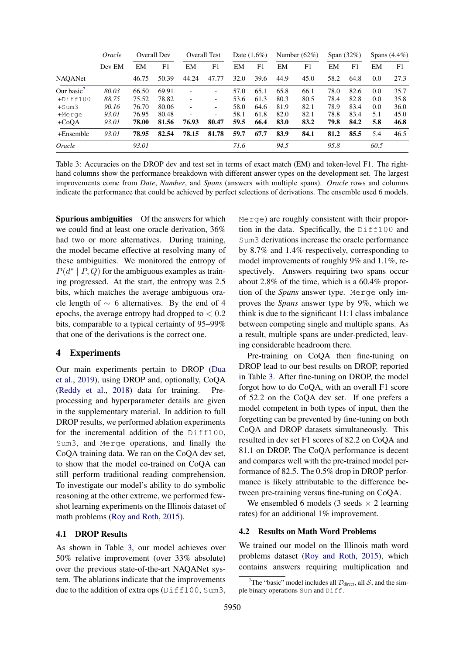<span id="page-3-0"></span>

|                        | Oracle<br>Dev EM | Overall Dev |       | <b>Overall Test</b>      |                          | Date $(1.6\%)$ |      | Number $(62\%)$ |      | Span $(32\%)$ |      | Spans $(4.4\%)$ |      |
|------------------------|------------------|-------------|-------|--------------------------|--------------------------|----------------|------|-----------------|------|---------------|------|-----------------|------|
|                        |                  | EM          | F1    | EM                       | F1                       | EM             | F1   | EM              | F1   | EM            | F1   | EM              | F1   |
| <b>NAQANet</b>         |                  | 46.75       | 50.39 | 44.24                    | 47.77                    | 32.0           | 39.6 | 44.9            | 45.0 | 58.2          | 64.8 | 0.0             | 27.3 |
| Our basic <sup>7</sup> | 80.03            | 66.50       | 69.91 | $\overline{\phantom{a}}$ |                          | 57.0           | 65.1 | 65.8            | 66.1 | 78.0          | 82.6 | 0.0             | 35.7 |
| $+$ Diff100            | 88.75            | 75.52       | 78.82 | $\overline{\phantom{a}}$ | -                        | 53.6           | 61.3 | 80.3            | 80.5 | 78.4          | 82.8 | 0.0             | 35.8 |
| +Sum3                  | 90.16            | 76.70       | 80.06 | $\overline{\phantom{a}}$ | $\overline{\phantom{0}}$ | 58.0           | 64.6 | 81.9            | 82.1 | 78.9          | 83.4 | 0.0             | 36.0 |
| $+$ Merge              | 93.01            | 76.95       | 80.48 |                          | -                        | 58.1           | 61.8 | 82.0            | 82.1 | 78.8          | 83.4 | 5.1             | 45.0 |
| $+CoQA$                | 93.01            | 78.00       | 81.56 | 76.93                    | 80.47                    | 59.5           | 66.4 | 83.0            | 83.2 | 79.8          | 84.2 | 5.8             | 46.8 |
| +Ensemble              | 93.01            | 78.95       | 82.54 | 78.15                    | 81.78                    | 59.7           | 67.7 | 83.9            | 84.1 | 81.2          | 85.5 | 5.4             | 46.5 |
| Oracle                 |                  | 93.01       |       |                          |                          | 71.6           |      | 94.5            |      | 95.8          |      | 60.5            |      |

Table 3: Accuracies on the DROP dev and test set in terms of exact match (EM) and token-level F1. The righthand columns show the performance breakdown with different answer types on the development set. The largest improvements come from *Date*, *Number*, and *Spans* (answers with multiple spans). *Oracle* rows and columns indicate the performance that could be achieved by perfect selections of derivations. The ensemble used 6 models.

Spurious ambiguities Of the answers for which we could find at least one oracle derivation, 36% had two or more alternatives. During training, the model became effective at resolving many of these ambiguities. We monitored the entropy of  $P(d^* | P, Q)$  for the ambiguous examples as training progressed. At the start, the entropy was 2.5 bits, which matches the average ambiguous oracle length of ∼ 6 alternatives. By the end of 4 epochs, the average entropy had dropped to  $< 0.2$ bits, comparable to a typical certainty of 95–99% that one of the derivations is the correct one.

### <span id="page-3-1"></span>4 Experiments

Our main experiments pertain to DROP [\(Dua](#page-4-1) [et al.,](#page-4-1) [2019\)](#page-4-1), using DROP and, optionally, CoQA [\(Reddy et al.,](#page-4-5) [2018\)](#page-4-5) data for training. Preprocessing and hyperparameter details are given in the supplementary material. In addition to full DROP results, we performed ablation experiments for the incremental addition of the Diff100, Sum3, and Merge operations, and finally the CoQA training data. We ran on the CoQA dev set, to show that the model co-trained on CoQA can still perform traditional reading comprehension. To investigate our model's ability to do symbolic reasoning at the other extreme, we performed fewshot learning experiments on the Illinois dataset of math problems [\(Roy and Roth,](#page-4-6) [2015\)](#page-4-6).

### 4.1 DROP Results

As shown in Table [3,](#page-3-0) our model achieves over 50% relative improvement (over 33% absolute) over the previous state-of-the-art NAQANet system. The ablations indicate that the improvements due to the addition of extra ops (Diff100, Sum3,

Merge) are roughly consistent with their proportion in the data. Specifically, the Diff100 and Sum3 derivations increase the oracle performance by 8.7% and 1.4% respectively, corresponding to model improvements of roughly 9% and 1.1%, respectively. Answers requiring two spans occur about 2.8% of the time, which is a 60.4% proportion of the *Spans* answer type. Merge only improves the *Spans* answer type by 9%, which we think is due to the significant 11:1 class imbalance between competing single and multiple spans. As a result, multiple spans are under-predicted, leaving considerable headroom there.

Pre-training on CoQA then fine-tuning on DROP lead to our best results on DROP, reported in Table [3.](#page-3-0) After fine-tuning on DROP, the model forgot how to do CoQA, with an overall F1 score of 52.2 on the CoQA dev set. If one prefers a model competent in both types of input, then the forgetting can be prevented by fine-tuning on both CoQA and DROP datasets simultaneously. This resulted in dev set F1 scores of 82.2 on CoQA and 81.1 on DROP. The CoQA performance is decent and compares well with the pre-trained model performance of 82.5. The 0.5% drop in DROP performance is likely attributable to the difference between pre-training versus fine-tuning on CoQA.

We ensembled 6 models (3 seeds  $\times$  2 learning rates) for an additional 1% improvement.

#### 4.2 Results on Math Word Problems

We trained our model on the Illinois math word problems dataset [\(Roy and Roth,](#page-4-6) [2015\)](#page-4-6), which contains answers requiring multiplication and

<span id="page-3-2"></span><sup>&</sup>lt;sup>7</sup>The "basic" model includes all  $\mathcal{D}_{\text{direct}}$ , all S, and the simple binary operations Sum and Diff.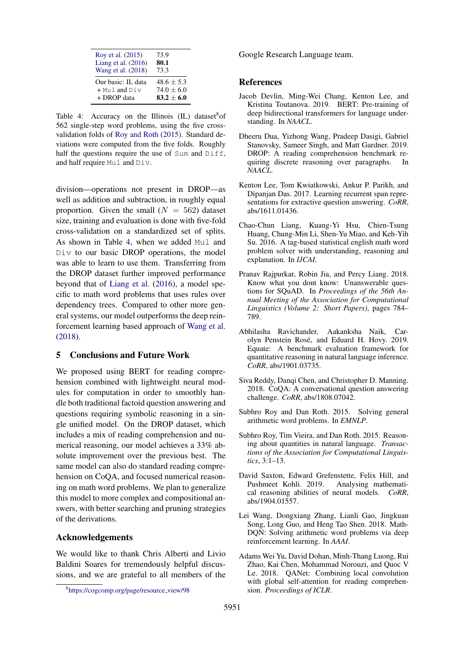<span id="page-4-13"></span>

| Roy et al. (2015)     | 73.9         |
|-----------------------|--------------|
| Liang et al. $(2016)$ | 80.1         |
| Wang et al. (2018)    | 73.3         |
| Our basic: IL data    | $48.6 + 5.3$ |
| $+$ Muland Div        | $74.0 + 6.0$ |
| + DROP data           | $83.2 + 6.0$ |

Table 4: Accuracy on the Illinois  $(IL)$  dataset<sup>[8](#page-4-12)</sup> of 562 single-step word problems, using the five crossvalidation folds of [Roy and Roth](#page-4-6) [\(2015\)](#page-4-6). Standard deviations were computed from the five folds. Roughly half the questions require the use of Sum and Diff, and half require Mul and Div.

division—operations not present in DROP—as well as addition and subtraction, in roughly equal proportion. Given the small  $(N = 562)$  dataset size, training and evaluation is done with five-fold cross-validation on a standardized set of splits. As shown in Table [4,](#page-4-13) when we added Mul and Div to our basic DROP operations, the model was able to learn to use them. Transferring from the DROP dataset further improved performance beyond that of [Liang et al.](#page-4-8) [\(2016\)](#page-4-8), a model specific to math word problems that uses rules over dependency trees. Compared to other more general systems, our model outperforms the deep reinforcement learning based approach of [Wang et al.](#page-4-11) [\(2018\)](#page-4-11).

## 5 Conclusions and Future Work

We proposed using BERT for reading comprehension combined with lightweight neural modules for computation in order to smoothly handle both traditional factoid question answering and questions requiring symbolic reasoning in a single unified model. On the DROP dataset, which includes a mix of reading comprehension and numerical reasoning, our model achieves a 33% absolute improvement over the previous best. The same model can also do standard reading comprehension on CoQA, and focused numerical reasoning on math word problems. We plan to generalize this model to more complex and compositional answers, with better searching and pruning strategies of the derivations.

## Acknowledgements

We would like to thank Chris Alberti and Livio Baldini Soares for tremendously helpful discussions, and we are grateful to all members of the Google Research Language team.

#### References

- <span id="page-4-4"></span>Jacob Devlin, Ming-Wei Chang, Kenton Lee, and Kristina Toutanova. 2019. BERT: Pre-training of deep bidirectional transformers for language understanding. In *NAACL*.
- <span id="page-4-1"></span>Dheeru Dua, Yizhong Wang, Pradeep Dasigi, Gabriel Stanovsky, Sameer Singh, and Matt Gardner. 2019. DROP: A reading comprehension benchmark requiring discrete reasoning over paragraphs. In *NAACL*.
- <span id="page-4-9"></span>Kenton Lee, Tom Kwiatkowski, Ankur P. Parikh, and Dipanjan Das. 2017. Learning recurrent span representations for extractive question answering. *CoRR*, abs/1611.01436.
- <span id="page-4-8"></span>Chao-Chun Liang, Kuang-Yi Hsu, Chien-Tsung Huang, Chung-Min Li, Shen-Yu Miao, and Keh-Yih Su. 2016. A tag-based statistical english math word problem solver with understanding, reasoning and explanation. In *IJCAI*.
- <span id="page-4-0"></span>Pranav Rajpurkar, Robin Jia, and Percy Liang. 2018. Know what you dont know: Unanswerable questions for SQuAD. In *Proceedings of the 56th Annual Meeting of the Association for Computational Linguistics (Volume 2: Short Papers)*, pages 784– 789.
- <span id="page-4-3"></span>Abhilasha Ravichander, Aakanksha Naik, Carolyn Penstein Rosé, and Eduard H. Hovy. 2019. Equate: A benchmark evaluation framework for quantitative reasoning in natural language inference. *CoRR*, abs/1901.03735.
- <span id="page-4-5"></span>Siva Reddy, Danqi Chen, and Christopher D. Manning. 2018. CoQA: A conversational question answering challenge. *CoRR*, abs/1808.07042.
- <span id="page-4-6"></span>Subhro Roy and Dan Roth. 2015. Solving general arithmetic word problems. In *EMNLP*.
- <span id="page-4-10"></span>Subhro Roy, Tim Vieira, and Dan Roth. 2015. Reasoning about quantities in natural language. *Transactions of the Association for Computational Linguistics*, 3:1–13.
- <span id="page-4-2"></span>David Saxton, Edward Grefenstette, Felix Hill, and Pushmeet Kohli. 2019. Analysing mathematical reasoning abilities of neural models. *CoRR*, abs/1904.01557.
- <span id="page-4-11"></span>Lei Wang, Dongxiang Zhang, Lianli Gao, Jingkuan Song, Long Guo, and Heng Tao Shen. 2018. Math-DQN: Solving arithmetic word problems via deep reinforcement learning. In *AAAI*.
- <span id="page-4-7"></span>Adams Wei Yu, David Dohan, Minh-Thang Luong, Rui Zhao, Kai Chen, Mohammad Norouzi, and Quoc V Le. 2018. QANet: Combining local convolution with global self-attention for reading comprehension. *Proceedings of ICLR*.

<span id="page-4-12"></span><sup>8</sup> [https://cogcomp.org/page/resource](https://cogcomp.org/page/resource_view/98) view/98